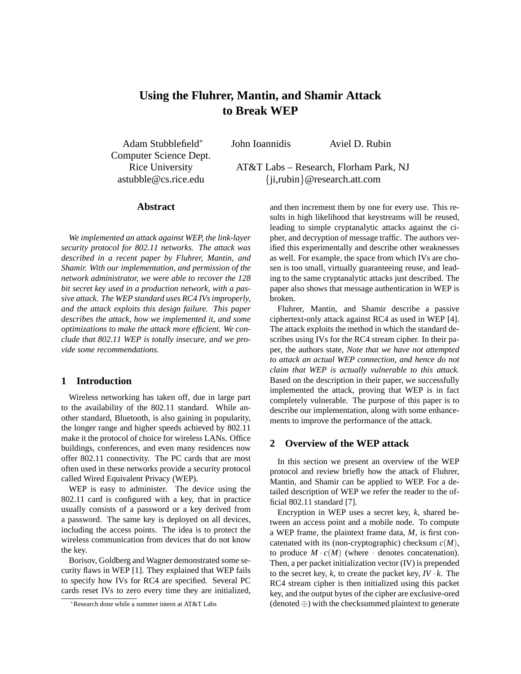# **Using the Fluhrer, Mantin, and Shamir Attack to Break WEP**

John Ioannidis Aviel D. Rubin

Adam Stubblefield<sup>∗</sup> Computer Science Dept.

Rice University AT&T Labs – Research, Florham Park, NJ astubble@cs.rice.edu {ji,rubin}@research.att.com

#### **Abstract**

*We implemented an attack against WEP, the link-layer security protocol for 802.11 networks. The attack was described in a recent paper by Fluhrer, Mantin, and Shamir. With our implementation, and permission of the network administrator, we were able to recover the 128 bit secret key used in a production network, with a passive attack. The WEP standard uses RC4 IVs improperly, and the attack exploits this design failure. This paper describes the attack, how we implemented it, and some optimizations to make the attack more efficient. We conclude that 802.11 WEP is totally insecure, and we provide some recommendations.*

# **1 Introduction**

Wireless networking has taken off, due in large part to the availability of the 802.11 standard. While another standard, Bluetooth, is also gaining in popularity, the longer range and higher speeds achieved by 802.11 make it the protocol of choice for wireless LANs. Office buildings, conferences, and even many residences now offer 802.11 connectivity. The PC cards that are most often used in these networks provide a security protocol called Wired Equivalent Privacy (WEP).

WEP is easy to administer. The device using the 802.11 card is configured with a key, that in practice usually consists of a password or a key derived from a password. The same key is deployed on all devices, including the access points. The idea is to protect the wireless communication from devices that do not know the key.

Borisov, Goldberg and Wagner demonstrated some security flaws in WEP [1]. They explained that WEP fails to specify how IVs for RC4 are specified. Several PC cards reset IVs to zero every time they are initialized,

and then increment them by one for every use. This results in high likelihood that keystreams will be reused, leading to simple cryptanalytic attacks against the cipher, and decryption of message traffic. The authors verified this experimentally and describe other weaknesses as well. For example, the space from which IVs are chosen is too small, virtually guaranteeing reuse, and leading to the same cryptanalytic attacks just described. The paper also shows that message authentication in WEP is broken.

Fluhrer, Mantin, and Shamir describe a passive ciphertext-only attack against RC4 as used in WEP [4]. The attack exploits the method in which the standard describes using IVs for the RC4 stream cipher. In their paper, the authors state, *Note that we have not attempted to attack an actual WEP connection, and hence do not claim that WEP is actually vulnerable to this attack.* Based on the description in their paper, we successfully implemented the attack, proving that WEP is in fact completely vulnerable. The purpose of this paper is to describe our implementation, along with some enhancements to improve the performance of the attack.

## **2 Overview of the WEP attack**

In this section we present an overview of the WEP protocol and review briefly how the attack of Fluhrer, Mantin, and Shamir can be applied to WEP. For a detailed description of WEP we refer the reader to the official 802.11 standard [7].

Encryption in WEP uses a secret key, *k*, shared between an access point and a mobile node. To compute a WEP frame, the plaintext frame data, *M*, is first concatenated with its (non-cryptographic) checksum *c*(*M*), to produce  $M \cdot c(M)$  (where  $\cdot$  denotes concatenation). Then, a per packet initialization vector (IV) is prepended to the secret key,  $k$ , to create the packet key,  $IV \cdot k$ . The RC4 stream cipher is then initialized using this packet key, and the output bytes of the cipher are exclusive-ored (denoted ⊕) with the checksummed plaintext to generate

<sup>∗</sup>Research done while a summer intern at AT&T Labs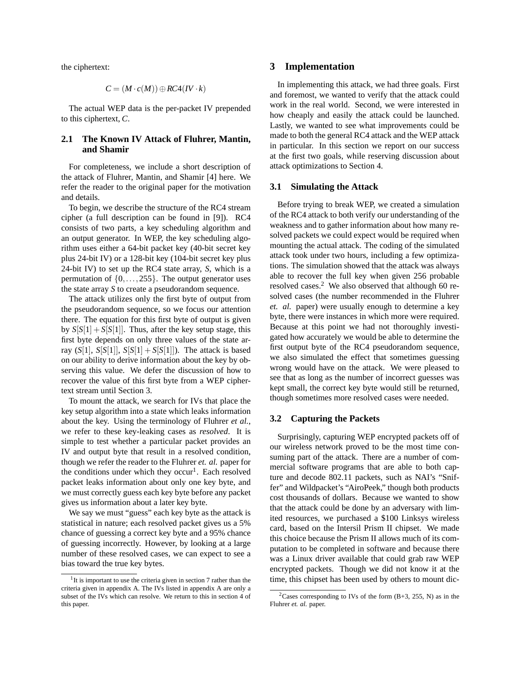the ciphertext:

$$
C = (M \cdot c(M)) \oplus RC4(IV \cdot k)
$$

The actual WEP data is the per-packet IV prepended to this ciphertext, *C*.

# **2.1 The Known IV Attack of Fluhrer, Mantin, and Shamir**

For completeness, we include a short description of the attack of Fluhrer, Mantin, and Shamir [4] here. We refer the reader to the original paper for the motivation and details.

To begin, we describe the structure of the RC4 stream cipher (a full description can be found in [9]). RC4 consists of two parts, a key scheduling algorithm and an output generator. In WEP, the key scheduling algorithm uses either a 64-bit packet key (40-bit secret key plus 24-bit IV) or a 128-bit key (104-bit secret key plus 24-bit IV) to set up the RC4 state array, *S*, which is a permutation of  $\{0, \ldots, 255\}$ . The output generator uses the state array *S* to create a pseudorandom sequence.

The attack utilizes only the first byte of output from the pseudorandom sequence, so we focus our attention there. The equation for this first byte of output is given by  $S[S[1] + S[S[1]]$ . Thus, after the key setup stage, this first byte depends on only three values of the state array  $(S[1], S[S[1]], S[S[1]] + S[S[1]])$ . The attack is based on our ability to derive information about the key by observing this value. We defer the discussion of how to recover the value of this first byte from a WEP ciphertext stream until Section 3.

To mount the attack, we search for IVs that place the key setup algorithm into a state which leaks information about the key. Using the terminology of Fluhrer *et al.*, we refer to these key-leaking cases as *resolved*. It is simple to test whether a particular packet provides an IV and output byte that result in a resolved condition, though we refer the reader to the Fluhrer *et. al.* paper for the conditions under which they occur<sup>1</sup>. Each resolved packet leaks information about only one key byte, and we must correctly guess each key byte before any packet gives us information about a later key byte.

We say we must "guess" each key byte as the attack is statistical in nature; each resolved packet gives us a 5% chance of guessing a correct key byte and a 95% chance of guessing incorrectly. However, by looking at a large number of these resolved cases, we can expect to see a bias toward the true key bytes.

# **3 Implementation**

In implementing this attack, we had three goals. First and foremost, we wanted to verify that the attack could work in the real world. Second, we were interested in how cheaply and easily the attack could be launched. Lastly, we wanted to see what improvements could be made to both the general RC4 attack and the WEP attack in particular. In this section we report on our success at the first two goals, while reserving discussion about attack optimizations to Section 4.

## **3.1 Simulating the Attack**

Before trying to break WEP, we created a simulation of the RC4 attack to both verify our understanding of the weakness and to gather information about how many resolved packets we could expect would be required when mounting the actual attack. The coding of the simulated attack took under two hours, including a few optimizations. The simulation showed that the attack was always able to recover the full key when given 256 probable resolved cases.<sup>2</sup> We also observed that although 60 resolved cases (the number recommended in the Fluhrer *et. al.* paper) were usually enough to determine a key byte, there were instances in which more were required. Because at this point we had not thoroughly investigated how accurately we would be able to determine the first output byte of the RC4 pseudorandom sequence, we also simulated the effect that sometimes guessing wrong would have on the attack. We were pleased to see that as long as the number of incorrect guesses was kept small, the correct key byte would still be returned, though sometimes more resolved cases were needed.

## **3.2 Capturing the Packets**

Surprisingly, capturing WEP encrypted packets off of our wireless network proved to be the most time consuming part of the attack. There are a number of commercial software programs that are able to both capture and decode 802.11 packets, such as NAI's "Sniffer" and Wildpacket's "AiroPeek," though both products cost thousands of dollars. Because we wanted to show that the attack could be done by an adversary with limited resources, we purchased a \$100 Linksys wireless card, based on the Intersil Prism II chipset. We made this choice because the Prism II allows much of its computation to be completed in software and because there was a Linux driver available that could grab raw WEP encrypted packets. Though we did not know it at the time, this chipset has been used by others to mount dic-

<sup>&</sup>lt;sup>1</sup>It is important to use the criteria given in section 7 rather than the criteria given in appendix A. The IVs listed in appendix A are only a subset of the IVs which can resolve. We return to this in section 4 of this paper.

<sup>&</sup>lt;sup>2</sup>Cases corresponding to IVs of the form  $(B+3, 255, N)$  as in the Fluhrer *et. al.* paper.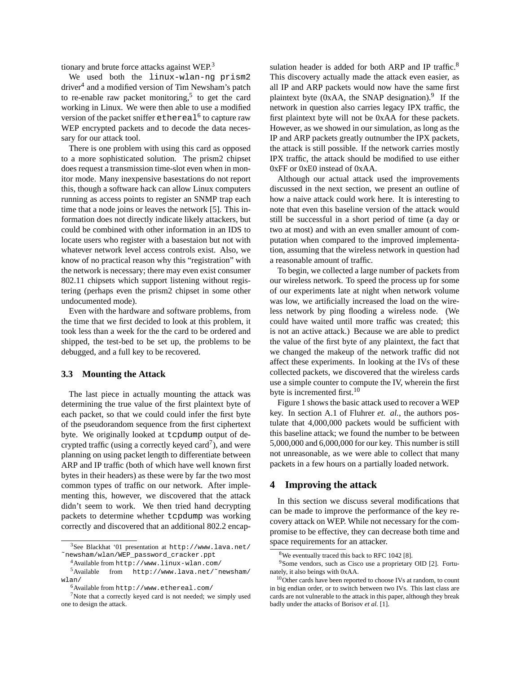tionary and brute force attacks against WEP.<sup>3</sup>

We used both the linux-wlan-ng prism2 driver<sup>4</sup> and a modified version of Tim Newsham's patch to re-enable raw packet monitoring,<sup>5</sup> to get the card working in Linux. We were then able to use a modified version of the packet sniffer <code>ethereal $^6$ </code> to capture raw WEP encrypted packets and to decode the data necessary for our attack tool.

There is one problem with using this card as opposed to a more sophisticated solution. The prism2 chipset does request a transmission time-slot even when in monitor mode. Many inexpensive basestations do not report this, though a software hack can allow Linux computers running as access points to register an SNMP trap each time that a node joins or leaves the network [5]. This information does not directly indicate likely attackers, but could be combined with other information in an IDS to locate users who register with a basestaion but not with whatever network level access controls exist. Also, we know of no practical reason why this "registration" with the network is necessary; there may even exist consumer 802.11 chipsets which support listening without registering (perhaps even the prism2 chipset in some other undocumented mode).

Even with the hardware and software problems, from the time that we first decided to look at this problem, it took less than a week for the the card to be ordered and shipped, the test-bed to be set up, the problems to be debugged, and a full key to be recovered.

#### **3.3 Mounting the Attack**

The last piece in actually mounting the attack was determining the true value of the first plaintext byte of each packet, so that we could could infer the first byte of the pseudorandom sequence from the first ciphertext byte. We originally looked at tcpdump output of decrypted traffic (using a correctly keyed card<sup>7</sup>), and were planning on using packet length to differentiate between ARP and IP traffic (both of which have well known first bytes in their headers) as these were by far the two most common types of traffic on our network. After implementing this, however, we discovered that the attack didn't seem to work. We then tried hand decrypting packets to determine whether tcpdump was working correctly and discovered that an additional 802.2 encap-

sulation header is added for both ARP and IP traffic.<sup>8</sup> This discovery actually made the attack even easier, as all IP and ARP packets would now have the same first plaintext byte (0xAA, the SNAP designation). $9$  If the network in question also carries legacy IPX traffic, the first plaintext byte will not be 0xAA for these packets. However, as we showed in our simulation, as long as the IP and ARP packets greatly outnumber the IPX packets, the attack is still possible. If the network carries mostly IPX traffic, the attack should be modified to use either 0xFF or 0xE0 instead of 0xAA.

Although our actual attack used the improvements discussed in the next section, we present an outline of how a naive attack could work here. It is interesting to note that even this baseline version of the attack would still be successful in a short period of time (a day or two at most) and with an even smaller amount of computation when compared to the improved implementation, assuming that the wireless network in question had a reasonable amount of traffic.

To begin, we collected a large number of packets from our wireless network. To speed the process up for some of our experiments late at night when network volume was low, we artificially increased the load on the wireless network by ping flooding a wireless node. (We could have waited until more traffic was created; this is not an active attack.) Because we are able to predict the value of the first byte of any plaintext, the fact that we changed the makeup of the network traffic did not affect these experiments. In looking at the IVs of these collected packets, we discovered that the wireless cards use a simple counter to compute the IV, wherein the first byte is incremented first.<sup>10</sup>

Figure 1 shows the basic attack used to recover a WEP key. In section A.1 of Fluhrer *et. al.*, the authors postulate that 4,000,000 packets would be sufficient with this baseline attack; we found the number to be between 5,000,000 and 6,000,000 for our key. This number is still not unreasonable, as we were able to collect that many packets in a few hours on a partially loaded network.

## **4 Improving the attack**

In this section we discuss several modifications that can be made to improve the performance of the key recovery attack on WEP. While not necessary for the compromise to be effective, they can decrease both time and space requirements for an attacker.

<sup>3</sup>See Blackhat '01 presentation at http://www.lava.net/ ˜newsham/wlan/WEP\_password\_cracker.ppt

<sup>4</sup>Available from http://www.linux-wlan.com/

<sup>5</sup>Available from http://www.lava.net/˜newsham/ wlan/

<sup>6</sup>Available from http://www.ethereal.com/

<sup>7</sup>Note that a correctly keyed card is not needed; we simply used one to design the attack.

 $8$ We eventually traced this back to RFC 1042 [8].

<sup>&</sup>lt;sup>9</sup>Some vendors, such as Cisco use a proprietary OID [2]. Fortunately, it also beings with 0xAA.

<sup>&</sup>lt;sup>10</sup>Other cards have been reported to choose IVs at random, to count in big endian order, or to switch between two IVs. This last class are cards are not vulnerable to the attack in this paper, although they break badly under the attacks of Borisov *et al.* [1].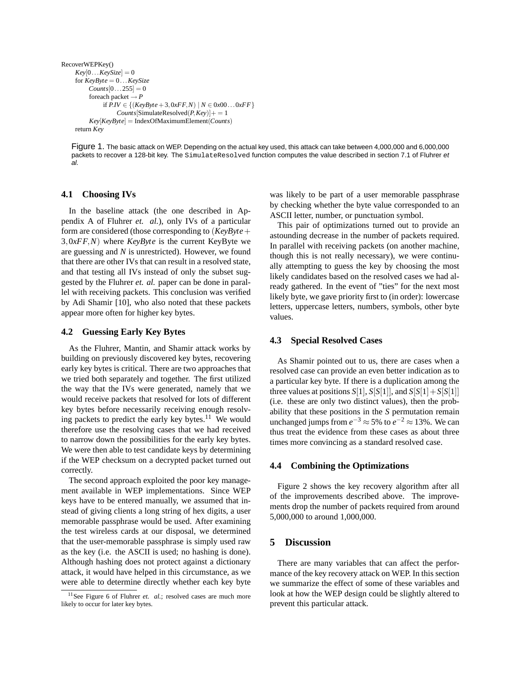```
RecoverWEPKey()
Key[0...KevSize] = 0for KeyByte = 0...KeySize
     \textit{Counts}[0...255] = 0foreach packet \rightarrow Pif P.IV ∈ {(KeyByte+3,0xFF,N) | N ∈ 0x00...0xFF}
               Counts[SimulateResolved(P,Key)] += 1Key[KeyByte] = IndexOfMaximumElement(Counts)
return Key
```
Figure 1. The basic attack on WEP. Depending on the actual key used, this attack can take between 4,000,000 and 6,000,000 packets to recover a 128-bit key. The SimulateResolved function computes the value described in section 7.1 of Fluhrer et al.

## **4.1 Choosing IVs**

In the baseline attack (the one described in Appendix A of Fluhrer *et. al.*), only IVs of a particular form are considered (those corresponding to (*KeyByte*+ 3,0*xFF*,*N*) where *KeyByte* is the current KeyByte we are guessing and *N* is unrestricted). However, we found that there are other IVs that can result in a resolved state, and that testing all IVs instead of only the subset suggested by the Fluhrer *et. al.* paper can be done in parallel with receiving packets. This conclusion was verified by Adi Shamir [10], who also noted that these packets appear more often for higher key bytes.

#### **4.2 Guessing Early Key Bytes**

As the Fluhrer, Mantin, and Shamir attack works by building on previously discovered key bytes, recovering early key bytes is critical. There are two approaches that we tried both separately and together. The first utilized the way that the IVs were generated, namely that we would receive packets that resolved for lots of different key bytes before necessarily receiving enough resolving packets to predict the early key bytes. $11$  We would therefore use the resolving cases that we had received to narrow down the possibilities for the early key bytes. We were then able to test candidate keys by determining if the WEP checksum on a decrypted packet turned out correctly.

The second approach exploited the poor key management available in WEP implementations. Since WEP keys have to be entered manually, we assumed that instead of giving clients a long string of hex digits, a user memorable passphrase would be used. After examining the test wireless cards at our disposal, we determined that the user-memorable passphrase is simply used raw as the key (i.e. the ASCII is used; no hashing is done). Although hashing does not protect against a dictionary attack, it would have helped in this circumstance, as we were able to determine directly whether each key byte

was likely to be part of a user memorable passphrase by checking whether the byte value corresponded to an ASCII letter, number, or punctuation symbol.

This pair of optimizations turned out to provide an astounding decrease in the number of packets required. In parallel with receiving packets (on another machine, though this is not really necessary), we were continually attempting to guess the key by choosing the most likely candidates based on the resolved cases we had already gathered. In the event of "ties" for the next most likely byte, we gave priority first to (in order): lowercase letters, uppercase letters, numbers, symbols, other byte values.

#### **4.3 Special Resolved Cases**

As Shamir pointed out to us, there are cases when a resolved case can provide an even better indication as to a particular key byte. If there is a duplication among the three values at positions  $S[1]$ ,  $S[S[1]]$ , and  $S[S[1]+S[S[1]]$ (i.e. these are only two distinct values), then the probability that these positions in the *S* permutation remain unchanged jumps from  $e^{-3}$  ≈ 5% to  $e^{-2}$  ≈ 13%. We can thus treat the evidence from these cases as about three times more convincing as a standard resolved case.

#### **4.4 Combining the Optimizations**

Figure 2 shows the key recovery algorithm after all of the improvements described above. The improvements drop the number of packets required from around 5,000,000 to around 1,000,000.

# **5 Discussion**

There are many variables that can affect the performance of the key recovery attack on WEP. In this section we summarize the effect of some of these variables and look at how the WEP design could be slightly altered to prevent this particular attack.

<sup>&</sup>lt;sup>11</sup>See Figure 6 of Fluhrer *et. al.*; resolved cases are much more likely to occur for later key bytes.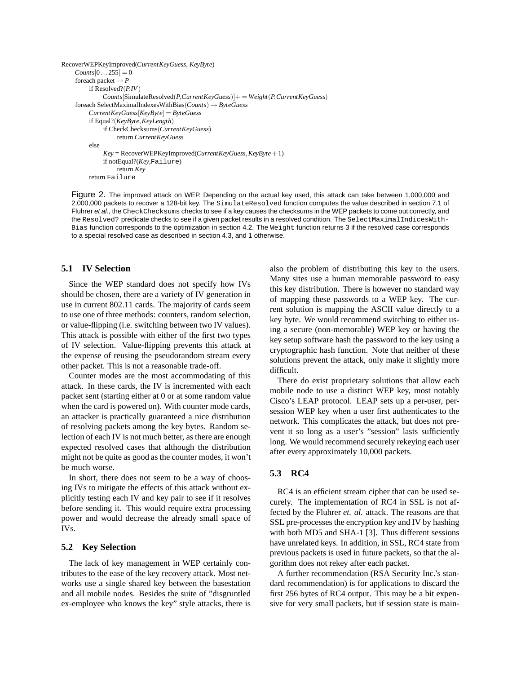```
RecoverWEPKeyImproved(CurrentKeyGuess, KeyByte)
Counts[0...255] = 0foreach packet \rightarrow P
     if Resolved?(P.IV)
         Counts[SimulateResolved(P,CurrentKeyGuess)]+ = Weight(P,CurrentKeyGuess)
foreach SelectMaximalIndexesWithBias(Counts) → ByteGuess
     CurrentKeyGuess[KeyByte] = ByteGuess
     if Equal?(KeyByte,KeyLength)
         if CheckChecksums(CurrentKeyGuess)
              return CurrentKeyGuess
     else
         Key = RecoverWEPKeyImproved(CurrentKeyGuess,KeyByte+1)
         if notEqual?(Key,Failure)
              return Key
     return Failure
```
Figure 2. The improved attack on WEP. Depending on the actual key used, this attack can take between 1,000,000 and 2,000,000 packets to recover a 128-bit key. The SimulateResolved function computes the value described in section 7.1 of Fluhrer et al., the CheckChecksums checks to see if a key causes the checksums in the WEP packets to come out correctly, and the Resolved? predicate checks to see if a given packet results in a resolved condition. The SelectMaximalIndicesWith-Bias function corresponds to the optimization in section 4.2. The Weight function returns 3 if the resolved case corresponds to a special resolved case as described in section 4.3, and 1 otherwise.

## **5.1 IV Selection**

Since the WEP standard does not specify how IVs should be chosen, there are a variety of IV generation in use in current 802.11 cards. The majority of cards seem to use one of three methods: counters, random selection, or value-flipping (i.e. switching between two IV values). This attack is possible with either of the first two types of IV selection. Value-flipping prevents this attack at the expense of reusing the pseudorandom stream every other packet. This is not a reasonable trade-off.

Counter modes are the most accommodating of this attack. In these cards, the IV is incremented with each packet sent (starting either at 0 or at some random value when the card is powered on). With counter mode cards, an attacker is practically guaranteed a nice distribution of resolving packets among the key bytes. Random selection of each IV is not much better, as there are enough expected resolved cases that although the distribution might not be quite as good as the counter modes, it won't be much worse.

In short, there does not seem to be a way of choosing IVs to mitigate the effects of this attack without explicitly testing each IV and key pair to see if it resolves before sending it. This would require extra processing power and would decrease the already small space of IVs.

### **5.2 Key Selection**

The lack of key management in WEP certainly contributes to the ease of the key recovery attack. Most networks use a single shared key between the basestation and all mobile nodes. Besides the suite of "disgruntled ex-employee who knows the key" style attacks, there is

also the problem of distributing this key to the users. Many sites use a human memorable password to easy this key distribution. There is however no standard way of mapping these passwords to a WEP key. The current solution is mapping the ASCII value directly to a key byte. We would recommend switching to either using a secure (non-memorable) WEP key or having the key setup software hash the password to the key using a cryptographic hash function. Note that neither of these solutions prevent the attack, only make it slightly more difficult.

There do exist proprietary solutions that allow each mobile node to use a distinct WEP key, most notably Cisco's LEAP protocol. LEAP sets up a per-user, persession WEP key when a user first authenticates to the network. This complicates the attack, but does not prevent it so long as a user's "session" lasts sufficiently long. We would recommend securely rekeying each user after every approximately 10,000 packets.

# **5.3 RC4**

RC4 is an efficient stream cipher that can be used securely. The implementation of RC4 in SSL is not affected by the Fluhrer *et. al.* attack. The reasons are that SSL pre-processes the encryption key and IV by hashing with both MD5 and SHA-1 [3]. Thus different sessions have unrelated keys. In addition, in SSL, RC4 state from previous packets is used in future packets, so that the algorithm does not rekey after each packet.

A further recommendation (RSA Security Inc.'s standard recommendation) is for applications to discard the first 256 bytes of RC4 output. This may be a bit expensive for very small packets, but if session state is main